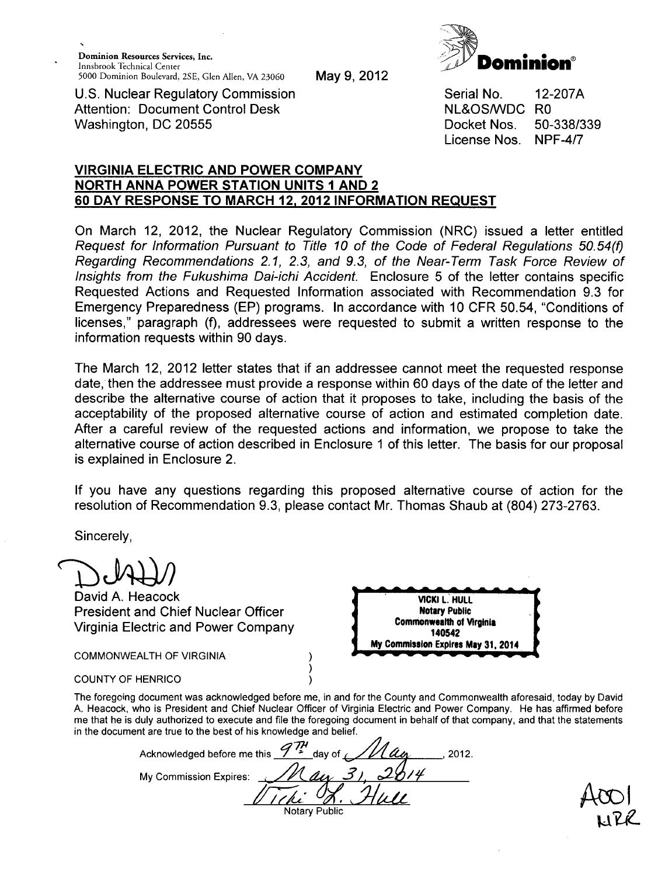

May 9, 2012

U.S. Nuclear Regulatory Commission Attention: Document Control Desk Washington, DC 20555

Serial No. NL&OS/WDC RO Docket Nos. License Nos. 12-207A 50-338/339 NPF-4/7

## VIRGINIA ELECTRIC **AND** POWER COMPANY NORTH **ANNA** POWER **STATION UNITS 1 AND** 2 **60** DAY **RESPONSE** TO MARCH **12,** 2012 INFORMATION **REQUEST**

On March 12, 2012, the Nuclear Regulatory Commission (NRC) issued a letter entitled *Request for Information Pursuant to Title 10 of the Code of Federal Regulations 50.54(f) Regarding Recommendations 2.1, 2.3, and 9.3, of the Near-Term Task Force Review of Insights from the Fukushima Dai-ichi Accident.* Enclosure 5 of the letter contains specific Requested Actions and Requested Information associated with Recommendation 9.3 for Emergency Preparedness (EP) programs. In accordance with 10 CFR 50.54, "Conditions of licenses," paragraph (f), addressees were requested to submit a written response to the information requests within 90 days.

The March 12, 2012 letter states that if an addressee cannot meet the requested response date, then the addressee must provide a response within 60 days of the date of the letter and describe the alternative course of action that it proposes to take, including the basis of the acceptability of the proposed alternative course of action and estimated completion date. After a careful review of the requested actions and information, we propose to take the alternative course of action described in Enclosure 1 of this letter. The basis for our proposal is explained in Enclosure 2.

If you have any questions regarding this proposed alternative course of action for the resolution of Recommendation 9.3, please contact Mr. Thomas Shaub at (804) 273-2763.

Sincerely,

David A. Heacock President and Chief Nuclear Officer Virginia Electric and Power Company \_. A A A A A A A A A A **r** VICKI **L. HULL** Notary Public Commonwealth of Virginia 140542 COMMONWEALTH OF VIRGINIA ) )<br>)  $\zeta$ **<sup>I</sup> My** Commission Expires **May 31,** 2014  $\mathbf{1}$ COUNTY OF HENRICO The foregoing document was acknowledged before me, in and for the County and Commonwealth aforesaid, today by David A. Heacock, who is President and Chief Nuclear Officer of Virginia Electric and Power Company. He has affirmed before me that he is duly authorized to execute and file the foregoing document in behalf of that company, and that the statements in the document are true to the best of his knowledge and belief.

Acknowledged before me this  $\frac{97\mu}{2}$  day of  $\frac{1}{100}$   $\alpha$ My Commission Expires:  $\frac{M}{W}$   $\frac{31}{31}$ ,  $\frac{2814}{400}$ **Notary Public**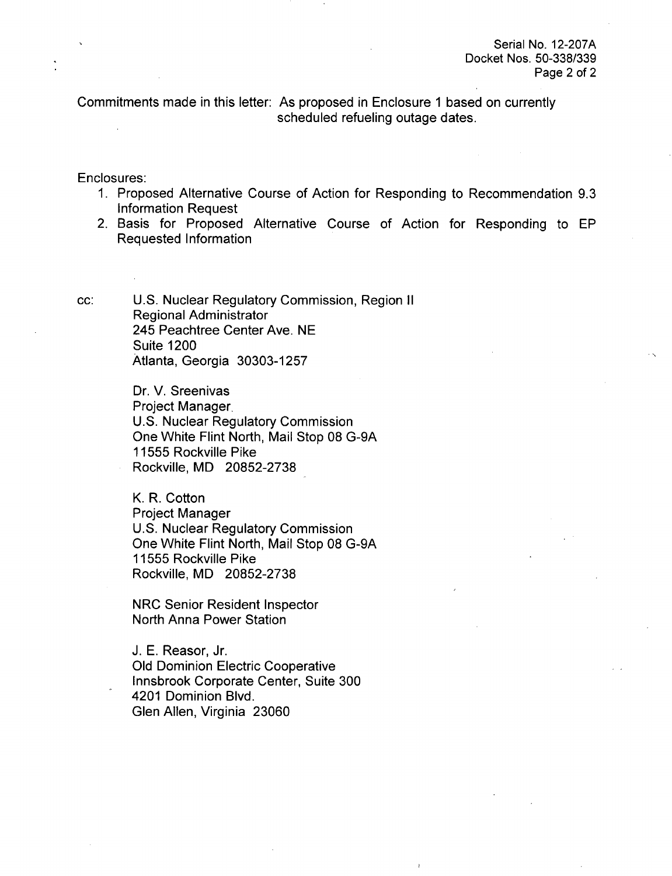Commitments made in this letter: As proposed in Enclosure **1** based on currently scheduled refueling outage dates.

Enclosures:

- 1. Proposed Alternative Course of Action for Responding to Recommendation 9.3 Information Request
- 2. Basis for Proposed Alternative Course of Action for Responding to EP Requested Information

cc: U.S. Nuclear Regulatory Commission, Region II Regional Administrator 245 Peachtree Center Ave. NE Suite 1200 Atlanta, Georgia 30303-1257

> Dr. V. Sreenivas Project Manager. U.S. Nuclear Regulatory Commission One White Flint North, Mail Stop 08 G-9A 11555 Rockville Pike Rockville, MD 20852-2738

> K. R. Cotton Project Manager U.S. Nuclear Regulatory Commission One White Flint North, Mail Stop 08 G-9A 11555 Rockville Pike Rockville, MD 20852-2738

NRC Senior Resident Inspector North Anna Power Station

J. E. Reasor, Jr. Old Dominion Electric Cooperative Innsbrook Corporate Center, Suite 300 4201 Dominion Blvd. Glen Allen, Virginia 23060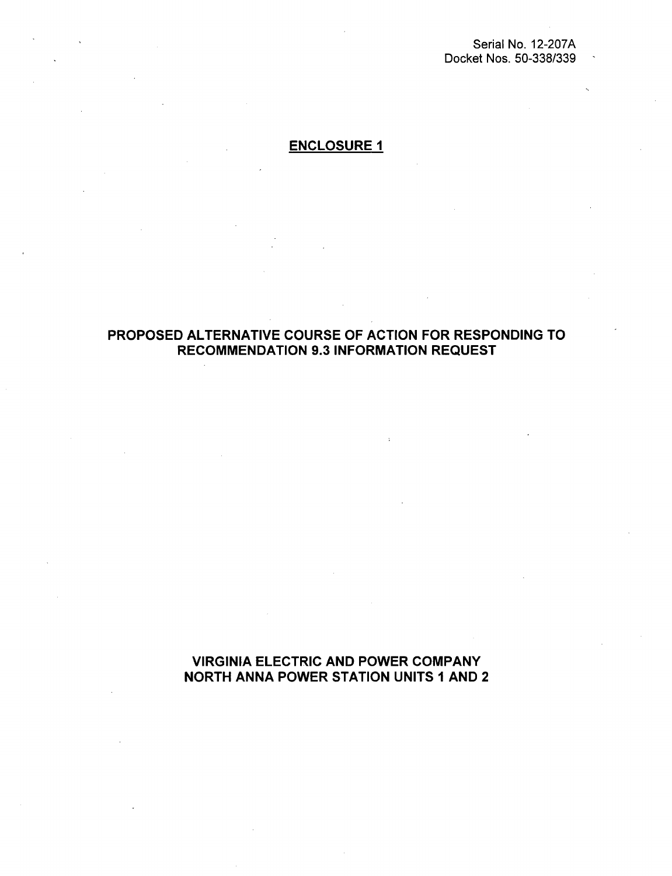Serial No. 12-207A Docket Nos. 50-338/339

# ENCLOSURE **I**

## PROPOSED ALTERNATIVE COURSE OF ACTION FOR RESPONDING TO RECOMMENDATION 9.3 INFORMATION REQUEST

VIRGINIA ELECTRIC AND POWER COMPANY NORTH ANNA POWER STATION UNITS **I** AND 2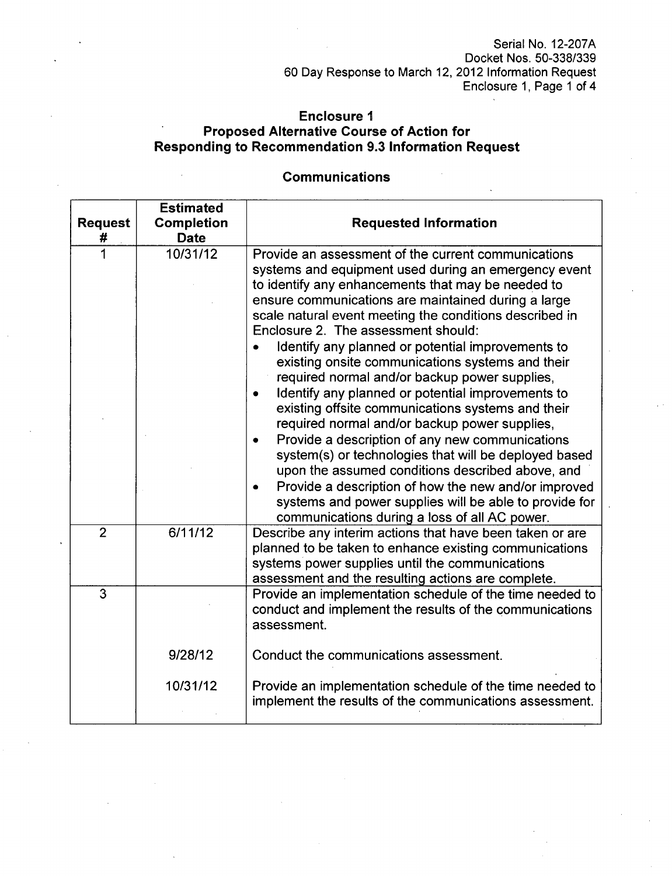Serial No. 12-207A Docket Nos. 50-338/339 60 Day Response to March 12, 2012 Information Request Enclosure 1, Page 1 of 4

## Enclosure **I** Proposed Alternative Course of Action for Responding to Recommendation **9.3** Information Request

# **Estimated** Request | Completion | Requested Information **#** Date **1** 10/31/12 Provide an assessment of the current communications systems and equipment used during an emergency event to identify any enhancements that may be needed to ensure communications are maintained during a large scale natural event meeting the conditions described in Enclosure 2. The assessment should: • Identify any planned or potential improvements to existing onsite communications systems and their required normal and/or backup power supplies, \* Identify any planned or potential improvements to existing offsite communications systems and their required normal and/or backup power supplies, • Provide a description of any new communications system(s) or technologies that will be deployed based upon the assumed conditions described above, and • Provide a description of how the new and/or improved systems and power supplies will be able to provide for communications during a loss of all AC power. 2 6/11/12 Describe any interim actions that have been taken or are planned to be taken to enhance existing communications systems power supplies until the communications assessment and the resulting actions are complete. 3 Provide an implementation schedule of the time needed to conduct and implement the results of the communications assessment. 9/28/12 Conduct the communications assessment. 10/31/12 Provide an implementation schedule of the time needed to implement the results of the communications assessment.

#### Communications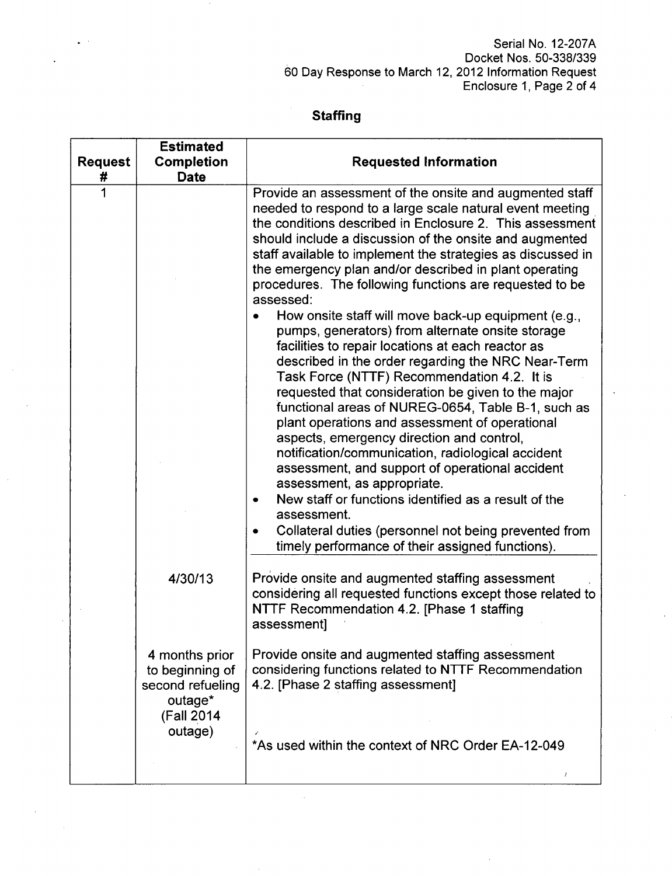### Serial No. 12-207A Docket Nos. 50-338/339 60 Day Response to March 12, 2012 Information Request Enclosure 1, Page 2 of 4

# **Staffing**

| <b>Request</b><br># | <b>Estimated</b><br><b>Completion</b><br><b>Date</b>                            | <b>Requested Information</b>                                                                                                                                                                                                                                                                                                                                                                                                                                                                                                                                                                                                                                                                                                                                                                                                                                                                                                                                                                                                                                                                                                                                                                                                                           |
|---------------------|---------------------------------------------------------------------------------|--------------------------------------------------------------------------------------------------------------------------------------------------------------------------------------------------------------------------------------------------------------------------------------------------------------------------------------------------------------------------------------------------------------------------------------------------------------------------------------------------------------------------------------------------------------------------------------------------------------------------------------------------------------------------------------------------------------------------------------------------------------------------------------------------------------------------------------------------------------------------------------------------------------------------------------------------------------------------------------------------------------------------------------------------------------------------------------------------------------------------------------------------------------------------------------------------------------------------------------------------------|
| 1                   |                                                                                 | Provide an assessment of the onsite and augmented staff<br>needed to respond to a large scale natural event meeting<br>the conditions described in Enclosure 2. This assessment<br>should include a discussion of the onsite and augmented<br>staff available to implement the strategies as discussed in<br>the emergency plan and/or described in plant operating<br>procedures. The following functions are requested to be<br>assessed:<br>How onsite staff will move back-up equipment (e.g.,<br>pumps, generators) from alternate onsite storage<br>facilities to repair locations at each reactor as<br>described in the order regarding the NRC Near-Term<br>Task Force (NTTF) Recommendation 4.2. It is<br>requested that consideration be given to the major<br>functional areas of NUREG-0654, Table B-1, such as<br>plant operations and assessment of operational<br>aspects, emergency direction and control,<br>notification/communication, radiological accident<br>assessment, and support of operational accident<br>assessment, as appropriate.<br>New staff or functions identified as a result of the<br>assessment.<br>Collateral duties (personnel not being prevented from<br>timely performance of their assigned functions). |
|                     | 4/30/13                                                                         | Provide onsite and augmented staffing assessment<br>considering all requested functions except those related to<br>NTTF Recommendation 4.2. [Phase 1 staffing<br>assessment]                                                                                                                                                                                                                                                                                                                                                                                                                                                                                                                                                                                                                                                                                                                                                                                                                                                                                                                                                                                                                                                                           |
|                     | 4 months prior<br>to beginning of<br>second refueling<br>outage*<br>(Fall 2014) | Provide onsite and augmented staffing assessment<br>considering functions related to NTTF Recommendation<br>4.2. [Phase 2 staffing assessment]                                                                                                                                                                                                                                                                                                                                                                                                                                                                                                                                                                                                                                                                                                                                                                                                                                                                                                                                                                                                                                                                                                         |
|                     | outage)                                                                         | *As used within the context of NRC Order EA-12-049<br>1                                                                                                                                                                                                                                                                                                                                                                                                                                                                                                                                                                                                                                                                                                                                                                                                                                                                                                                                                                                                                                                                                                                                                                                                |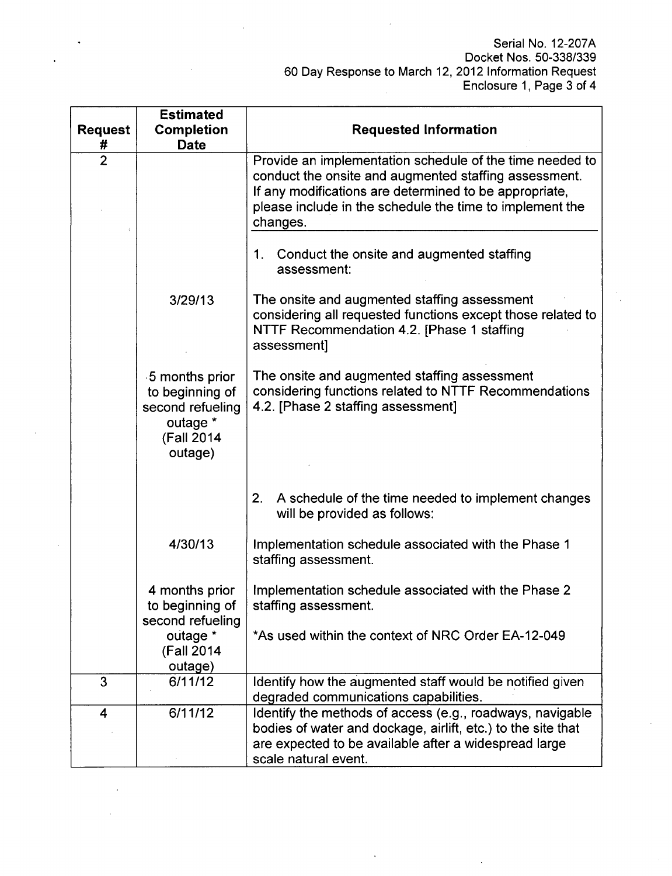| <b>Request</b> | <b>Estimated</b><br><b>Completion</b>                                                      | <b>Requested Information</b>                                                                                                                                                                                                                        |  |
|----------------|--------------------------------------------------------------------------------------------|-----------------------------------------------------------------------------------------------------------------------------------------------------------------------------------------------------------------------------------------------------|--|
| #              | <b>Date</b>                                                                                |                                                                                                                                                                                                                                                     |  |
| $\overline{2}$ |                                                                                            | Provide an implementation schedule of the time needed to<br>conduct the onsite and augmented staffing assessment.<br>If any modifications are determined to be appropriate,<br>please include in the schedule the time to implement the<br>changes. |  |
|                |                                                                                            | 1. Conduct the onsite and augmented staffing<br>assessment:                                                                                                                                                                                         |  |
|                | 3/29/13                                                                                    | The onsite and augmented staffing assessment<br>considering all requested functions except those related to<br>NTTF Recommendation 4.2. [Phase 1 staffing<br>assessment]                                                                            |  |
|                | 5 months prior<br>to beginning of<br>second refueling<br>outage *<br>(Fall 2014<br>outage) | The onsite and augmented staffing assessment<br>considering functions related to NTTF Recommendations<br>4.2. [Phase 2 staffing assessment]                                                                                                         |  |
|                |                                                                                            | 2.<br>A schedule of the time needed to implement changes<br>will be provided as follows:                                                                                                                                                            |  |
|                | 4/30/13                                                                                    | Implementation schedule associated with the Phase 1<br>staffing assessment.                                                                                                                                                                         |  |
|                | 4 months prior<br>to beginning of<br>second refueling                                      | Implementation schedule associated with the Phase 2<br>staffing assessment.                                                                                                                                                                         |  |
|                | outage *<br>(Fall 2014<br>outage)                                                          | *As used within the context of NRC Order EA-12-049                                                                                                                                                                                                  |  |
| 3              | 6/11/12                                                                                    | Identify how the augmented staff would be notified given<br>degraded communications capabilities.                                                                                                                                                   |  |
| 4              | 6/11/12                                                                                    | Identify the methods of access (e.g., roadways, navigable<br>bodies of water and dockage, airlift, etc.) to the site that<br>are expected to be available after a widespread large<br>scale natural event.                                          |  |

 $\bar{z}$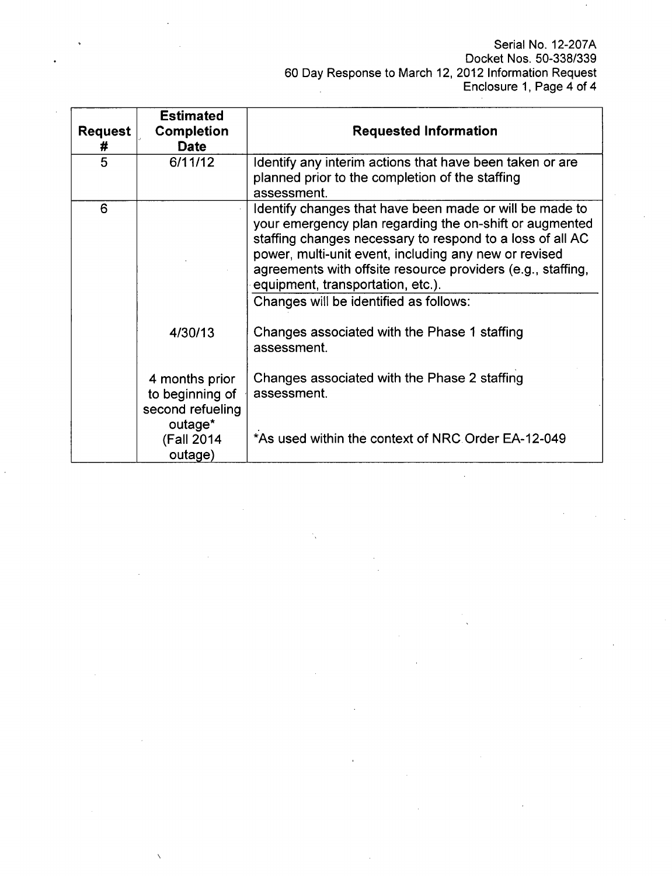| <b>Request</b><br># | <b>Estimated</b><br><b>Completion</b><br><b>Date</b>             | <b>Requested Information</b>                                                                                                                                                                                                                                                                                                                                                           |  |
|---------------------|------------------------------------------------------------------|----------------------------------------------------------------------------------------------------------------------------------------------------------------------------------------------------------------------------------------------------------------------------------------------------------------------------------------------------------------------------------------|--|
| 5                   | 6/11/12                                                          | Identify any interim actions that have been taken or are<br>planned prior to the completion of the staffing<br>assessment.                                                                                                                                                                                                                                                             |  |
| 6                   |                                                                  | Identify changes that have been made or will be made to<br>your emergency plan regarding the on-shift or augmented<br>staffing changes necessary to respond to a loss of all AC<br>power, multi-unit event, including any new or revised<br>agreements with offsite resource providers (e.g., staffing,<br>equipment, transportation, etc.).<br>Changes will be identified as follows: |  |
|                     | 4/30/13                                                          | Changes associated with the Phase 1 staffing<br>assessment.                                                                                                                                                                                                                                                                                                                            |  |
|                     | 4 months prior<br>to beginning of<br>second refueling<br>outage* | Changes associated with the Phase 2 staffing<br>assessment.                                                                                                                                                                                                                                                                                                                            |  |
|                     | (Fall 2014<br>outage)                                            | *As used within the context of NRC Order EA-12-049                                                                                                                                                                                                                                                                                                                                     |  |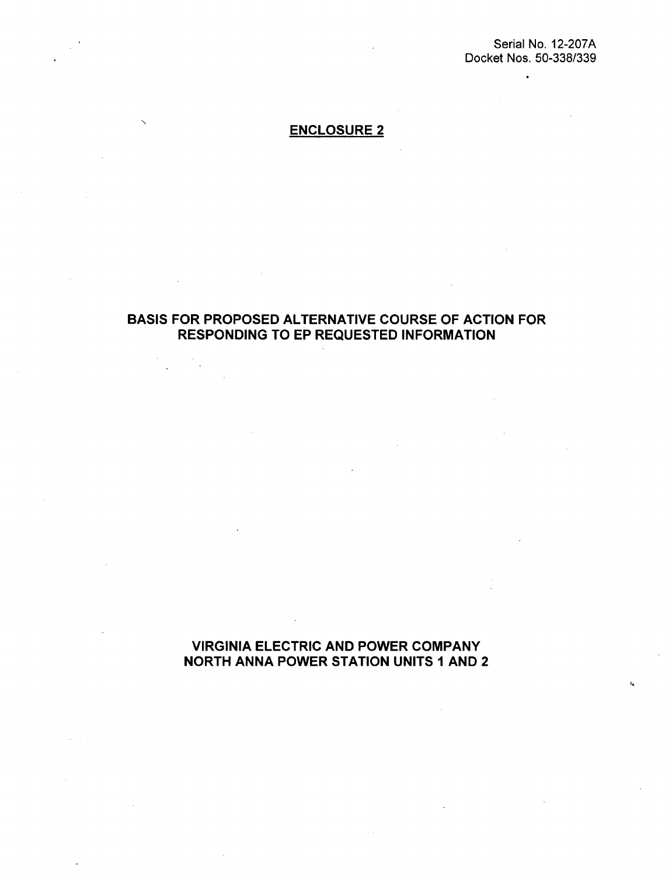$\bullet$ 

t.

## ENCLOSURE 2

## BASIS FOR PROPOSED ALTERNATIVE COURSE OF ACTION FOR RESPONDING TO EP REQUESTED INFORMATION

 $\ddot{\phantom{a}}$ 

VIRGINIA ELECTRIC AND POWER COMPANY NORTH ANNA POWER STATION UNITS **1** AND 2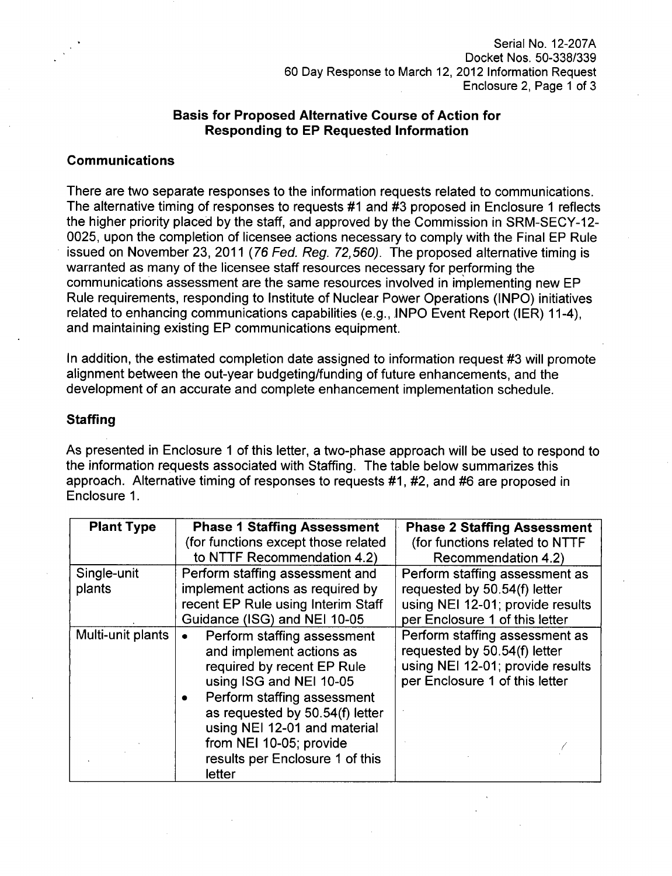Serial No. 12-207A Docket Nos. 50-338/339 60 Day Response to March 12, 2012 Information Request Enclosure 2, Page 1 of 3

### Basis for Proposed Alternative Course of Action for Responding to EP Requested Information

### Communications

There are two separate responses to the information requests related to communications. The alternative timing of responses to requests #1 and #3 proposed in Enclosure 1 reflects the higher priority placed by the staff, and approved by the Commission in SRM-SECY-12- 0025, upon the completion of licensee actions necessary to comply with the Final EP Rule issued on November 23, 2011 (76 *Fed. Reg. 72,560).* The proposed alternative timing is warranted as many of the licensee staff resources necessary for performing the communications assessment are the same resources involved in implementing new EP Rule requirements, responding to Institute of Nuclear Power Operations (INPO) initiatives related to enhancing communications capabilities (e.g., INPO Event Report (IER) 11-4), and maintaining existing EP communications equipment.

In addition, the estimated completion date assigned to information request #3 will promote alignment between the out-year budgeting/funding of future enhancements, and the development of an accurate and complete enhancement implementation schedule.

#### **Staffing**

As presented in Enclosure 1 of this letter, a two-phase approach will be used to respond to the information requests associated with Staffing. The table below summarizes this approach. Alternative timing of responses to requests #1, #2, and #6 are proposed in Enclosure 1.

| <b>Plant Type</b> | <b>Phase 1 Staffing Assessment</b>                                                                                                                                                                                                                                                         | <b>Phase 2 Staffing Assessment</b>                                                                                                   |
|-------------------|--------------------------------------------------------------------------------------------------------------------------------------------------------------------------------------------------------------------------------------------------------------------------------------------|--------------------------------------------------------------------------------------------------------------------------------------|
|                   | (for functions except those related                                                                                                                                                                                                                                                        | (for functions related to NTTF                                                                                                       |
|                   | to NTTF Recommendation 4.2)                                                                                                                                                                                                                                                                | Recommendation 4.2)                                                                                                                  |
| Single-unit       | Perform staffing assessment and                                                                                                                                                                                                                                                            | Perform staffing assessment as                                                                                                       |
| plants            | implement actions as required by                                                                                                                                                                                                                                                           | requested by 50.54(f) letter                                                                                                         |
|                   | recent EP Rule using Interim Staff                                                                                                                                                                                                                                                         | using NEI 12-01; provide results                                                                                                     |
|                   | Guidance (ISG) and NEI 10-05                                                                                                                                                                                                                                                               | per Enclosure 1 of this letter                                                                                                       |
| Multi-unit plants | Perform staffing assessment<br>and implement actions as<br>required by recent EP Rule<br>using ISG and NEI 10-05<br>Perform staffing assessment<br>as requested by 50.54(f) letter<br>using NEI 12-01 and material<br>from NEI 10-05; provide<br>results per Enclosure 1 of this<br>letter | Perform staffing assessment as<br>requested by 50.54(f) letter<br>using NEI 12-01; provide results<br>per Enclosure 1 of this letter |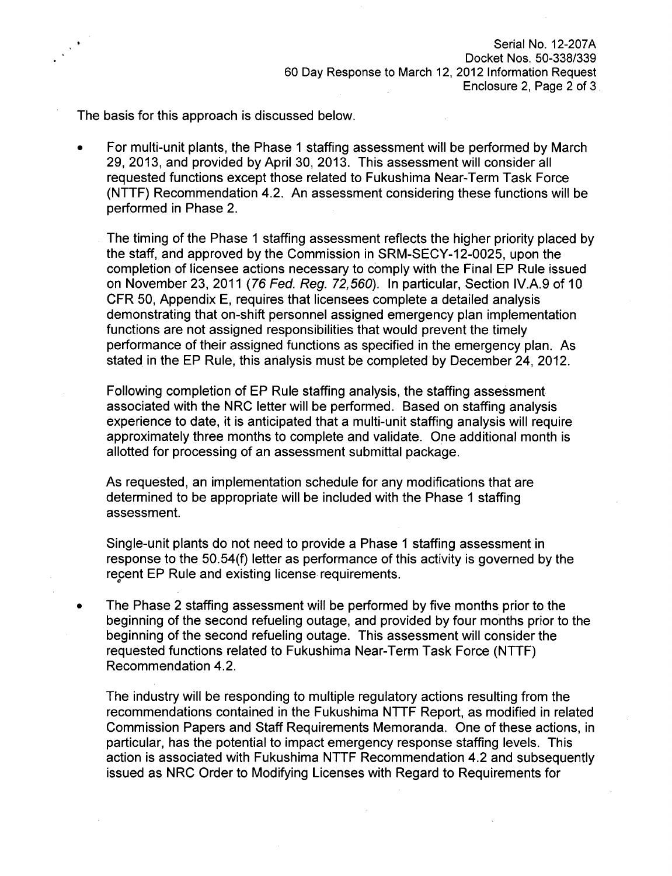The basis for this approach is discussed below.

For multi-unit plants, the Phase **1** staffing assessment will be performed by March 29, 2013, and provided by April 30, 2013. This assessment will consider all requested functions except those related to Fukushima Near-Term Task Force (NTTF) Recommendation 4.2. An assessment considering these functions will be performed in Phase 2.

The timing of the Phase **1** staffing assessment reflects the higher priority placed by the staff, and approved by the Commission in SRM-SECY-12-0025, upon the completion of licensee actions necessary to comply with the Final EP Rule issued on November 23, 2011 *(76 Fed. Reg. 72,560).* In particular, Section IV.A.9 of 10 CFR 50, Appendix **E,** requires that licensees complete a detailed analysis demonstrating that on-shift personnel assigned emergency plan implementation functions are not assigned responsibilities that would prevent the timely performance of their assigned functions as specified in the emergency plan. As stated in the EP Rule, this analysis must be completed by December 24, 2012.

Following completion of EP Rule staffing analysis, the staffing assessment associated with the NRC letter will be performed. Based on staffing analysis experience to date, it is anticipated that a multi-unit staffing analysis will require approximately three months to complete and validate. One additional month is allotted for processing of an assessment submittal package.

As requested, an implementation schedule for any modifications that are determined to be appropriate will be included with the Phase **1** staffing assessment.

Single-unit plants do not need to provide a Phase **1** staffing assessment in response to the 50.54(f) letter as performance of this activity is governed by the recent EP Rule and existing license requirements.

The Phase 2 staffing assessment will be performed by five months prior to the beginning of the second refueling outage, and provided by four months prior to the beginning of the second refueling outage. This assessment will consider the requested functions related to Fukushima Near-Term Task Force (NTTF) Recommendation 4.2.

The industry will be responding to multiple regulatory actions resulting from the recommendations contained in the Fukushima NTTF Report, as modified in related Commission Papers and Staff Requirements Memoranda. One of these actions, in particular, has the potential to impact emergency response staffing levels. This action is associated with Fukushima NTTF Recommendation 4.2 and subsequently issued as NRC Order to Modifying Licenses with Regard to Requirements for